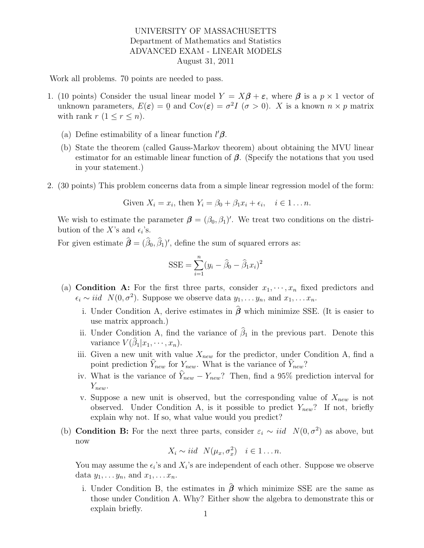## UNIVERSITY OF MASSACHUSETTS Department of Mathematics and Statistics ADVANCED EXAM - LINEAR MODELS August 31, 2011

Work all problems. 70 points are needed to pass.

- 1. (10 points) Consider the usual linear model  $Y = X\beta + \varepsilon$ , where  $\beta$  is a  $p \times 1$  vector of unknown parameters,  $E(\varepsilon) = 0$  $\leq$ and  $Cov(\varepsilon) = \sigma^2 I$   $(\sigma > 0)$ . X is a known  $n \times p$  matrix with rank  $r$   $(1 \leq r \leq n)$ .
	- (a) Define estimability of a linear function  $\ell/\beta$ .
	- (b) State the theorem (called Gauss-Markov theorem) about obtaining the MVU linear estimator for an estimable linear function of  $\beta$ . (Specify the notations that you used in your statement.)
- 2. (30 points) This problem concerns data from a simple linear regression model of the form:

Given 
$$
X_i = x_i
$$
, then  $Y_i = \beta_0 + \beta_1 x_i + \epsilon_i$ ,  $i \in 1 \dots n$ .

We wish to estimate the parameter  $\boldsymbol{\beta} = (\beta_0, \beta_1)'$ . We treat two conditions on the distribution of the X's and  $\epsilon_i$ 's.

For given estimate  $\hat{\boldsymbol{\beta}} = (\hat{\beta}_0, \hat{\beta}_1)'$ , define the sum of squared errors as:

$$
SSE = \sum_{i=1}^{n} (y_i - \widehat{\beta}_0 - \widehat{\beta}_1 x_i)^2
$$

- (a) **Condition A:** For the first three parts, consider  $x_1, \dots, x_n$  fixed predictors and  $\epsilon_i \sim iid \ N(0, \sigma^2)$ . Suppose we observe data  $y_1, \ldots y_n$ , and  $x_1, \ldots x_n$ .
	- i. Under Condition A, derive estimates in  $\hat{\beta}$  which minimize SSE. (It is easier to use matrix approach.)
	- ii. Under Condition A, find the variance of  $\hat{\beta}_1$  in the previous part. Denote this variance  $V(\beta_1|x_1,\dots,x_n)$ .
	- iii. Given a new unit with value  $X_{new}$  for the predictor, under Condition A, find a point prediction  $\hat{Y}_{new}$  for  $Y_{new}$ . What is the variance of  $\hat{Y}_{new}$ ?
	- iv. What is the variance of  $\hat{Y}_{new} Y_{new}$ ? Then, find a 95% prediction interval for  $Y_{new}$ .
	- v. Suppose a new unit is observed, but the corresponding value of  $X_{new}$  is not observed. Under Condition A, is it possible to predict  $Y_{new}$ ? If not, briefly explain why not. If so, what value would you predict?
- (b) **Condition B:** For the next three parts, consider  $\varepsilon_i \sim \textit{iid}$   $N(0, \sigma^2)$  as above, but now

$$
X_i \sim iid \ N(\mu_x, \sigma_x^2) \quad i \in 1 \dots n.
$$

You may assume the  $\epsilon_i$ 's and  $X_i$ 's are independent of each other. Suppose we observe data  $y_1, \ldots y_n$ , and  $x_1, \ldots x_n$ .

i. Under Condition B, the estimates in  $\hat{\beta}$  which minimize SSE are the same as those under Condition A. Why? Either show the algebra to demonstrate this or explain briefly.  $1$